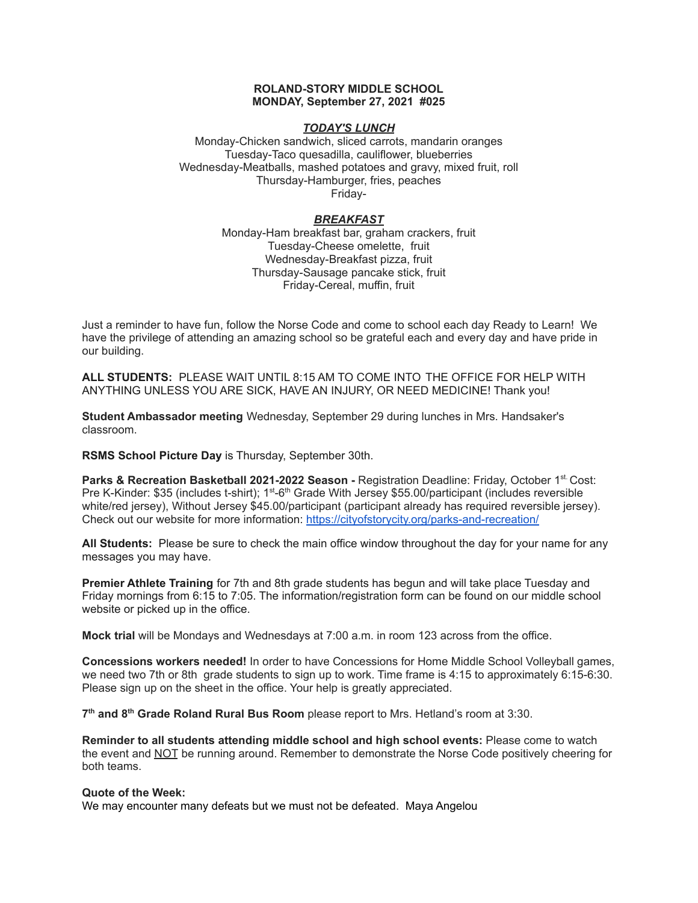### **ROLAND-STORY MIDDLE SCHOOL MONDAY, September 27, 2021 #025**

### *TODAY'S LUNCH*

Monday-Chicken sandwich, sliced carrots, mandarin oranges Tuesday-Taco quesadilla, cauliflower, blueberries Wednesday-Meatballs, mashed potatoes and gravy, mixed fruit, roll Thursday-Hamburger, fries, peaches Friday-

#### *BREAKFAST*

Monday-Ham breakfast bar, graham crackers, fruit Tuesday-Cheese omelette, fruit Wednesday-Breakfast pizza, fruit Thursday-Sausage pancake stick, fruit Friday-Cereal, muffin, fruit

Just a reminder to have fun, follow the Norse Code and come to school each day Ready to Learn! We have the privilege of attending an amazing school so be grateful each and every day and have pride in our building.

**ALL STUDENTS:** PLEASE WAIT UNTIL 8:15 AM TO COME INTO THE OFFICE FOR HELP WITH ANYTHING UNLESS YOU ARE SICK, HAVE AN INJURY, OR NEED MEDICINE! Thank you!

**Student Ambassador meeting** Wednesday, September 29 during lunches in Mrs. Handsaker's classroom.

**RSMS School Picture Day** is Thursday, September 30th.

**Parks & Recreation Basketball 2021-2022 Season -** Registration Deadline: Friday, October 1 st. Cost: Pre K-Kinder: \$35 (includes t-shirt); 1<sup>st</sup>-6<sup>th</sup> Grade With Jersey \$55.00/participant (includes reversible white/red jersey), Without Jersey \$45.00/participant (participant already has required reversible jersey). Check out our website for more information: <https://cityofstorycity.org/parks-and-recreation/>

**All Students:** Please be sure to check the main office window throughout the day for your name for any messages you may have.

**Premier Athlete Training** for 7th and 8th grade students has begun and will take place Tuesday and Friday mornings from 6:15 to 7:05. The information/registration form can be found on our middle school website or picked up in the office.

**Mock trial** will be Mondays and Wednesdays at 7:00 a.m. in room 123 across from the office.

**Concessions workers needed!** In order to have Concessions for Home Middle School Volleyball games, we need two 7th or 8th grade students to sign up to work. Time frame is 4:15 to approximately 6:15-6:30. Please sign up on the sheet in the office. Your help is greatly appreciated.

**7 th and 8 th Grade Roland Rural Bus Room** please report to Mrs. Hetland's room at 3:30.

**Reminder to all students attending middle school and high school events:** Please come to watch the event and NOT be running around. Remember to demonstrate the Norse Code positively cheering for both teams.

#### **Quote of the Week:**

We may encounter many defeats but we must not be defeated. Maya Angelou